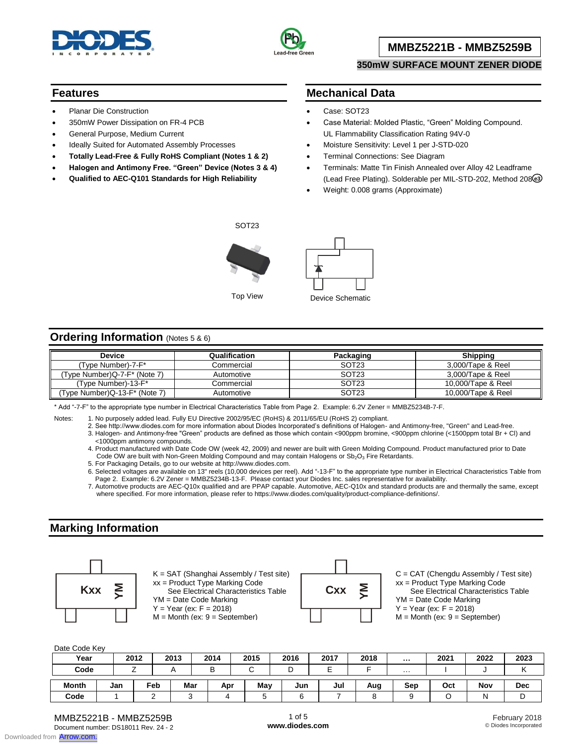



## **MMBZ5221B - MMBZ5259B**

### **350mW SURFACE MOUNT ZENER DIODE**

### **Features**

- Planar Die Construction
- 350mW Power Dissipation on FR-4 PCB
- General Purpose, Medium Current
- Ideally Suited for Automated Assembly Processes
- **Totally Lead-Free & Fully RoHS Compliant (Notes 1 & 2)**
- **Halogen and Antimony Free. "Green" Device (Notes 3 & 4)**
- **Qualified to AEC-Q101 Standards for High Reliability**

## **Mechanical Data**

- Case: SOT23
- Case Material: Molded Plastic, "Green" Molding Compound. UL Flammability Classification Rating 94V-0
- Moisture Sensitivity: Level 1 per J-STD-020
- Terminal Connections: See Diagram
- Terminals: Matte Tin Finish Annealed over Alloy 42 Leadframe (Lead Free Plating). Solderable per MIL-STD-202, Method 208 **e3**
- Weight: 0.008 grams (Approximate)

SOT23





# **Ordering Information** (Notes 5 & 6)

| <b>Device</b>                 | Qualification | Packaging         | <b>Shipping</b>    |
|-------------------------------|---------------|-------------------|--------------------|
| (Type Number)-7-F*            | Commercial    | SOT <sub>23</sub> | 3,000/Tape & Reel  |
| (Type Number)Q-7-F* (Note 7)  | Automotive    | SOT <sub>23</sub> | 3.000/Tape & Reel  |
| (Type Number)-13-F*           | Commercial    | SOT <sub>23</sub> | 10.000/Tape & Reel |
| 'Type Number)Q-13-F* (Note 7) | Automotive    | SOT <sub>23</sub> | 10.000/Tape & Reel |

\* Add "-7-F" to the appropriate type number in Electrical Characteristics Table from Page 2. Example: 6.2V Zener = MMBZ5234B-7-F.

Notes: 1. No purposely added lead. Fully EU Directive 2002/95/EC (RoHS) & 2011/65/EU (RoHS 2) compliant.

2. See http://www.diodes.com for more information about Diodes Incorporated's definitions of Halogen- and Antimony-free, "Green" and Lead-free.

3. Halogen- and Antimony-free "Green" products are defined as those which contain <900ppm bromine, <900ppm chlorine (<1500ppm total Br + Cl) and <1000ppm antimony compounds.

4. Product manufactured with Date Code OW (week 42, 2009) and newer are built with Green Molding Compound. Product manufactured prior to Date Code OW are built with Non-Green Molding Compound and may contain Halogens or  $Sb_2O_3$  Fire Retardants.

5. For Packaging Details, go to our website at http://www.diodes.com.

6. Selected voltages are available on 13" reels (10,000 devices per reel). Add "-13-F" to the appropriate type number in Electrical Characteristics Table from Page 2. Example: 6.2V Zener = MMBZ5234B-13-F. Please contact your Diodes Inc. sales representative for availability.

7. Automotive products are AEC-Q10x qualified and are PPAP capable. Automotive, AEC-Q10x and standard products are and thermally the same, except where specified. For more information, please refer to https://www.diodes.com/quality/product-compliance-definitions/.

## **Marking Information**



K = SAT (Shanghai Assembly / Test site) xx = Product Type Marking Code **Kxx**  $\geq$   $\begin{array}{c} \sim$   $\sim$  See Electrical Characteristics Table  $\sim$  Cxx  $\geq$ YM = Date Code Marking  $Y = Year (ex: F = 2018)$  $M =$  Month (ex:  $9 =$  September)



C = CAT (Chengdu Assembly / Test site) xx = Product Type Marking Code See Electrical Characteristics Table YM = Date Code Marking  $Y = Year (ex: F = 2018)$ 

 $M =$  Month (ex:  $9 =$  September)

Date Code Key

| <b>Dail Ocul INCY</b> |     |        |      |     |      |        |      |      |      |          |      |      |            |
|-----------------------|-----|--------|------|-----|------|--------|------|------|------|----------|------|------|------------|
| Year                  |     | 2012   | 2013 |     | 2014 | 2015   | 2016 | 2017 | 2018 | $\cdots$ | 2021 | 2022 | 2023       |
| Code                  |     | $\sim$ | n    |     | B    | ⌒<br>U | └    | -    |      | .        |      |      |            |
| <b>Month</b>          | Jan | Feb    |      | Mar | Apr  | May    | Jun  | Jul  | Aug  | Sep      | Oct  | Nov  | <b>Dec</b> |
| Code                  |     |        |      |     | ∸    |        |      |      |      |          |      | N    | ◡          |

MMBZ5221B - MMBZ5259B Document number: DS18011 Rev. 24 - 2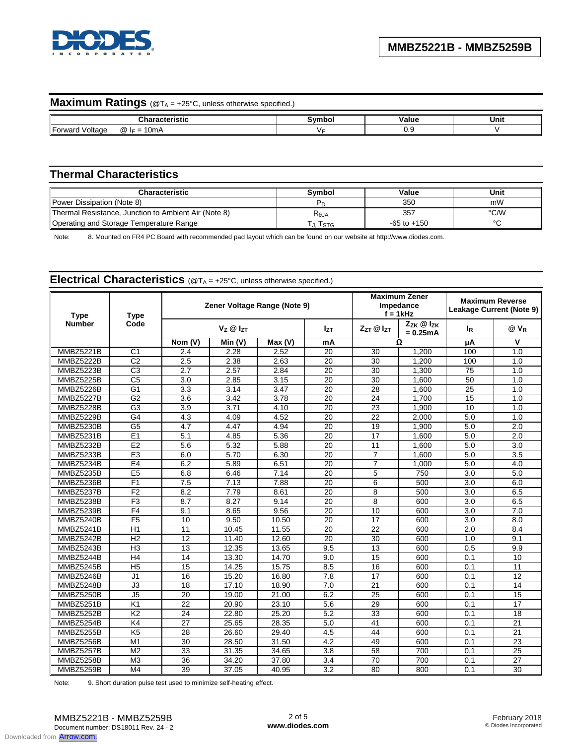

# **Maximum Ratings** (@TA = +25°C, unless otherwise specified.)

| .                                                                | --- | aluc." | Unit |
|------------------------------------------------------------------|-----|--------|------|
| <b>IForv</b><br>0mP<br>oltago<br>(Φ.<br>$-$<br>var.<br>--<br>. . |     | ◡.     |      |

# **Thermal Characteristics**

| <b>Characteristic</b>                                | Svmbol         | Value           | Unit   |
|------------------------------------------------------|----------------|-----------------|--------|
| Power Dissipation (Note 8)                           |                | 350             | mW     |
| Thermal Resistance, Junction to Ambient Air (Note 8) | $R_{\theta$ JA | 357             | °C/W   |
| Operating and Storage Temperature Range              | , I stg        | $-65$ to $+150$ | $\sim$ |

Note: 8. Mounted on FR4 PC Board with recommended pad layout which can be found on our website at http://www.diodes.com.

| <b>Type</b>      | <b>Type</b>     |                 |                      | Zener Voltage Range (Note 9) |                 | <b>Maximum Zener</b><br>Impedance<br>$f = 1$ kHz |                                     | <b>Maximum Reverse</b><br>Leakage Current (Note 9) |                 |
|------------------|-----------------|-----------------|----------------------|------------------------------|-----------------|--------------------------------------------------|-------------------------------------|----------------------------------------------------|-----------------|
| <b>Number</b>    | Code            |                 | $V_Z \otimes I_{ZT}$ |                              | lzτ             | $Z_{7T}$ $@$ $I_{7T}$                            | $Z_{ZK}$ $@$ $I_{ZK}$<br>$= 0.25mA$ | <b>l</b> <sub>R</sub>                              | $@V_R$          |
|                  |                 | Nom (V)         | Min(V)               | Max(V)                       | mA              |                                                  | Ω                                   | μA                                                 | v               |
| <b>MMBZ5221B</b> | C <sub>1</sub>  | 2.4             | 2.28                 | 2.52                         | 20              | 30                                               | 1.200                               | 100                                                | 1.0             |
| MMBZ5222B        | $\overline{C2}$ | 2.5             | 2.38                 | 2.63                         | 20              | 30                                               | 1,200                               | 100                                                | 1.0             |
| MMBZ5223B        | $\overline{C3}$ | 2.7             | 2.57                 | 2.84                         | 20              | 30                                               | 1,300                               | 75                                                 | 1.0             |
| <b>MMBZ5225B</b> | C <sub>5</sub>  | 3.0             | 2.85                 | 3.15                         | 20              | 30                                               | 1.600                               | 50                                                 | 1.0             |
| MMBZ5226B        | G <sub>1</sub>  | 3.3             | 3.14                 | 3.47                         | 20              | 28                                               | 1,600                               | $\overline{25}$                                    | 1.0             |
| MMBZ5227B        | G2              | 3.6             | 3.42                 | 3.78                         | 20              | 24                                               | 1,700                               | $\overline{15}$                                    | 1.0             |
| MMBZ5228B        | G <sub>3</sub>  | 3.9             | 3.71                 | 4.10                         | 20              | 23                                               | 1,900                               | 10                                                 | 1.0             |
| MMBZ5229B        | G4              | 4.3             | 4.09                 | 4.52                         | 20              | 22                                               | 2.000                               | 5.0                                                | 1.0             |
| MMBZ5230B        | G5              | 4.7             | 4.47                 | 4.94                         | 20              | 19                                               | 1,900                               | 5.0                                                | 2.0             |
| <b>MMBZ5231B</b> | E1              | 5.1             | 4.85                 | 5.36                         | 20              | 17                                               | 1.600                               | 5.0                                                | 2.0             |
| MMBZ5232B        | E2              | 5.6             | 5.32                 | 5.88                         | 20              | 11                                               | 1.600                               | 5.0                                                | 3.0             |
| MMBZ5233B        | E <sub>3</sub>  | 6.0             | 5.70                 | 6.30                         | 20              | 7                                                | 1,600                               | 5.0                                                | 3.5             |
| MMBZ5234B        | E <sub>4</sub>  | 6.2             | 5.89                 | 6.51                         | 20              | $\overline{7}$                                   | 1,000                               | 5.0                                                | 4.0             |
| <b>MMBZ5235B</b> | E5              | 6.8             | 6.46                 | 7.14                         | $\overline{20}$ | 5                                                | 750                                 | 3.0                                                | 5.0             |
| MMBZ5236B        | F <sub>1</sub>  | 7.5             | 7.13                 | 7.88                         | 20              | 6                                                | 500                                 | 3.0                                                | 6.0             |
| MMBZ5237B        | F <sub>2</sub>  | 8.2             | 7.79                 | 8.61                         | 20              | 8                                                | 500                                 | 3.0                                                | 6.5             |
| MMBZ5238B        | F <sub>3</sub>  | 8.7             | 8.27                 | 9.14                         | 20              | 8                                                | 600                                 | 3.0                                                | 6.5             |
| MMBZ5239B        | F4              | 9.1             | 8.65                 | 9.56                         | $\overline{20}$ | 10                                               | 600                                 | 3.0                                                | 7.0             |
| MMBZ5240B        | F5              | 10              | 9.50                 | 10.50                        | $\overline{20}$ | $\overline{17}$                                  | 600                                 | 3.0                                                | 8.0             |
| MMBZ5241B        | H1              | 11              | $\overline{10.45}$   | 11.55                        | 20              | 22                                               | 600                                 | 2.0                                                | 8.4             |
| MMBZ5242B        | H <sub>2</sub>  | 12              | 11.40                | 12.60                        | 20              | 30                                               | 600                                 | 1.0                                                | 9.1             |
| MMBZ5243B        | H <sub>3</sub>  | 13              | 12.35                | 13.65                        | 9.5             | 13                                               | 600                                 | 0.5                                                | 9.9             |
| MMBZ5244B        | H4              | 14              | 13.30                | 14.70                        | 9.0             | 15                                               | 600                                 | 0.1                                                | 10              |
| MMBZ5245B        | H <sub>5</sub>  | 15              | 14.25                | 15.75                        | 8.5             | 16                                               | 600                                 | 0.1                                                | 11              |
| MMBZ5246B        | J1              | 16              | 15.20                | 16.80                        | 7.8             | 17                                               | 600                                 | 0.1                                                | 12              |
| MMBZ5248B        | J3              | 18              | 17.10                | 18.90                        | 7.0             | 21                                               | 600                                 | 0.1                                                | 14              |
| MMBZ5250B        | J <sub>5</sub>  | $\overline{20}$ | 19.00                | 21.00                        | 6.2             | $\overline{25}$                                  | 600                                 | 0.1                                                | 15              |
| <b>MMBZ5251B</b> | K <sub>1</sub>  | 22              | 20.90                | 23.10                        | 5.6             | 29                                               | 600                                 | 0.1                                                | 17              |
| MMBZ5252B        | K <sub>2</sub>  | 24              | 22.80                | 25.20                        | 5.2             | 33                                               | 600                                 | 0.1                                                | 18              |
| MMBZ5254B        | K4              | 27              | 25.65                | 28.35                        | 5.0             | 41                                               | 600                                 | 0.1                                                | 21              |
| MMBZ5255B        | K <sub>5</sub>  | 28              | 26.60                | 29.40                        | 4.5             | 44                                               | 600                                 | 0.1                                                | 21              |
| MMBZ5256B        | $\overline{M1}$ | $\overline{30}$ | 28.50                | 31.50                        | 4.2             | 49                                               | 600                                 | 0.1                                                | $\overline{23}$ |
| MMBZ5257B        | M <sub>2</sub>  | 33              | 31.35                | 34.65                        | 3.8             | 58                                               | 700                                 | 0.1                                                | 25              |
| MMBZ5258B        | M <sub>3</sub>  | 36              | 34.20                | 37.80                        | 3.4             | 70                                               | 700                                 | 0.1                                                | 27              |
| MMBZ5259B        | M <sub>4</sub>  | 39              | 37.05                | 40.95                        | 3.2             | 80                                               | 800                                 | 0.1                                                | 30              |

# **Electrical Characteristics** (@T<sub>A</sub> = +25°C, unless otherwise specified.)

Note: 9. Short duration pulse test used to minimize self-heating effect.

Downloaded from **[Arrow.com.](http://www.arrow.com)**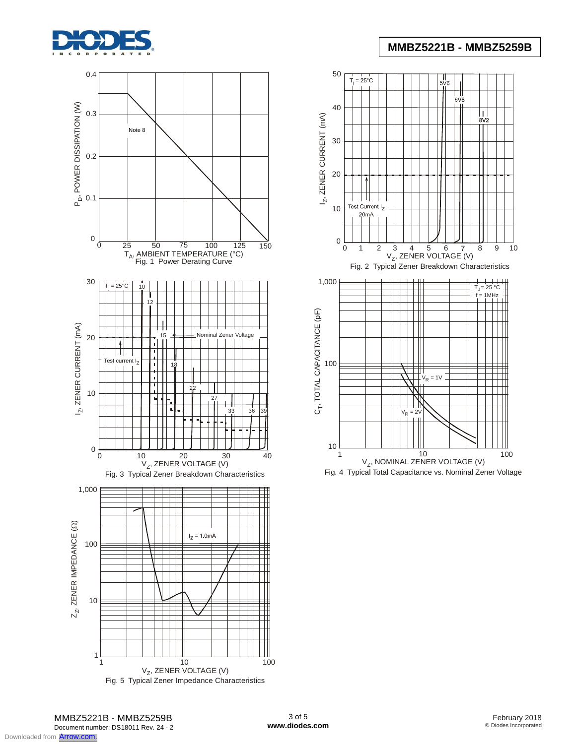



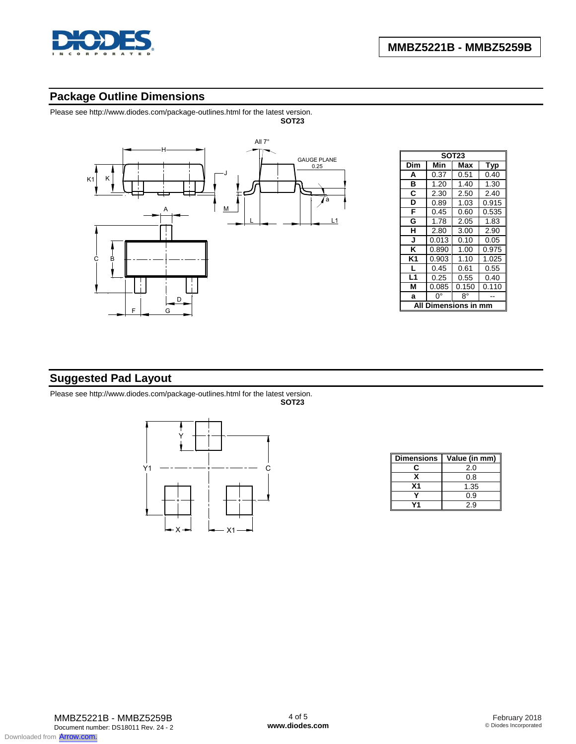

# **Package Outline Dimensions**

Please see http://www.diodes.com/package-outlines.html for the latest version.



|                | <b>SOT23</b> |       |       |  |  |  |  |  |  |
|----------------|--------------|-------|-------|--|--|--|--|--|--|
| Dim            | Min          | Max   | Typ   |  |  |  |  |  |  |
| A              | 0.37         | 0.51  | 0.40  |  |  |  |  |  |  |
| в              | 1.20         | 1.40  | 1.30  |  |  |  |  |  |  |
| C              | 2.30         | 2.50  | 2.40  |  |  |  |  |  |  |
| D              | 0.89         | 1.03  | 0.915 |  |  |  |  |  |  |
| F              | 0.45         | 0.60  | 0.535 |  |  |  |  |  |  |
| G              | 1.78         | 2.05  | 1.83  |  |  |  |  |  |  |
| н              | 2.80         | 3.00  | 2.90  |  |  |  |  |  |  |
| J              | 0.013        | 0.10  | 0.05  |  |  |  |  |  |  |
| ĸ              | 0.890        | 1.00  | 0.975 |  |  |  |  |  |  |
| K1             | 0.903        | 1.10  | 1.025 |  |  |  |  |  |  |
| L              | 0.45         | 0.61  | 0.55  |  |  |  |  |  |  |
| L <sub>1</sub> | 0.25         | 0.55  | 0.40  |  |  |  |  |  |  |
| М              | 0.085        | 0.150 | 0.110 |  |  |  |  |  |  |
| a              | 0°           | 8°    |       |  |  |  |  |  |  |
| mensions ir    |              |       |       |  |  |  |  |  |  |

## **Suggested Pad Layout**

Please see http://www.diodes.com/package-outlines.html for the latest version. **SOT23**



| <b>Dimensions</b> | Value (in mm) |
|-------------------|---------------|
|                   | 2.0           |
|                   | 0.8           |
| Χ1                | 1.35          |
|                   | 0.9           |
|                   | 2.9           |